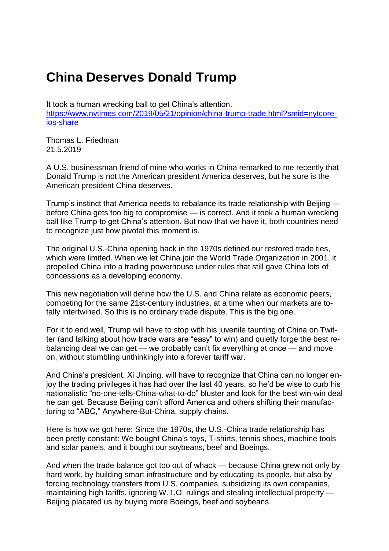## **China Deserves Donald Trump**

It took a human wrecking ball to get China's attention. [https://www.nytimes.com/2019/05/21/opinion/china-trump-trade.html?smid=nytcore](https://www.nytimes.com/2019/05/21/opinion/china-trump-trade.html?smid=nytcore-ios-share)[ios-share](https://www.nytimes.com/2019/05/21/opinion/china-trump-trade.html?smid=nytcore-ios-share)

Thomas L. Friedman 21.5.2019

A U.S. businessman friend of mine who works in China remarked to me recently that Donald Trump is not the American president America deserves, but he sure is the American president China deserves.

Trump's instinct that America needs to rebalance its trade relationship with Beijing before China gets too big to compromise — is correct. And it took a human wrecking ball like Trump to get China's attention. But now that we have it, both countries need to recognize just how pivotal this moment is.

The original U.S.-China opening back in the 1970s defined our restored trade ties, which were limited. When we let China join the World Trade Organization in 2001, it propelled China into a trading powerhouse under rules that still gave China lots of concessions as a developing economy.

This new negotiation will define how the U.S. and China relate as economic peers, competing for the same 21st-century industries, at a time when our markets are totally intertwined. So this is no ordinary trade dispute. This is the big one.

For it to end well, Trump will have to stop with his juvenile taunting of China on Twitter (and talking about how trade wars are "easy" to win) and quietly forge the best rebalancing deal we can get — we probably can't fix everything at once — and move on, without stumbling unthinkingly into a forever tariff war.

And China's president, Xi Jinping, will have to recognize that China can no longer enjoy the trading privileges it has had over the last 40 years, so he'd be wise to curb his nationalistic "no-one-tells-China-what-to-do" bluster and look for the best win-win deal he can get. Because Beijing can't afford America and others shifting their manufacturing to "ABC," Anywhere-But-China, supply chains.

Here is how we got here: Since the 1970s, the U.S.-China trade relationship has been pretty constant: We bought China's toys, T-shirts, tennis shoes, machine tools and solar panels, and it bought our soybeans, beef and Boeings.

And when the trade balance got too out of whack — because China grew not only by hard work, by building smart infrastructure and by educating its people, but also by forcing technology transfers from U.S. companies, subsidizing its own companies, maintaining high tariffs, ignoring W.T.O. rulings and stealing intellectual property — Beijing placated us by buying more Boeings, beef and soybeans.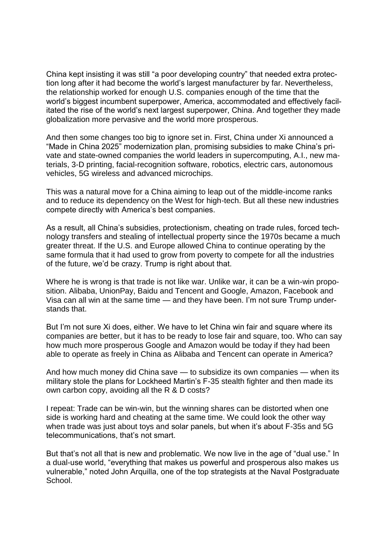China kept insisting it was still "a poor developing country" that needed extra protection long after it had become the world's largest manufacturer by far. Nevertheless, the relationship worked for enough U.S. companies enough of the time that the world's biggest incumbent superpower, America, accommodated and effectively facilitated the rise of the world's next largest superpower, China. And together they made globalization more pervasive and the world more prosperous.

And then some changes too big to ignore set in. First, China under Xi announced a "Made in China 2025" modernization plan, promising subsidies to make China's private and state-owned companies the world leaders in supercomputing, A.I., new materials, 3-D printing, facial-recognition software, robotics, electric cars, autonomous vehicles, 5G wireless and advanced microchips.

This was a natural move for a China aiming to leap out of the middle-income ranks and to reduce its dependency on the West for high-tech. But all these new industries compete directly with America's best companies.

As a result, all China's subsidies, protectionism, cheating on trade rules, forced technology transfers and stealing of intellectual property since the 1970s became a much greater threat. If the U.S. and Europe allowed China to continue operating by the same formula that it had used to grow from poverty to compete for all the industries of the future, we'd be crazy. Trump is right about that.

Where he is wrong is that trade is not like war. Unlike war, it can be a win-win proposition. Alibaba, UnionPay, Baidu and Tencent and Google, Amazon, Facebook and Visa can all win at the same time — and they have been. I'm not sure Trump understands that.

But I'm not sure Xi does, either. We have to let China win fair and square where its companies are better, but it has to be ready to lose fair and square, too. Who can say how much more prosperous Google and Amazon would be today if they had been able to operate as freely in China as Alibaba and Tencent can operate in America?

And how much money did China save — to subsidize its own companies — when its military stole the plans for Lockheed Martin's F-35 stealth fighter and then made its own carbon copy, avoiding all the R & D costs?

I repeat: Trade can be win-win, but the winning shares can be distorted when one side is working hard and cheating at the same time. We could look the other way when trade was just about toys and solar panels, but when it's about F-35s and 5G telecommunications, that's not smart.

But that's not all that is new and problematic. We now live in the age of "dual use." In a dual-use world, "everything that makes us powerful and prosperous also makes us vulnerable," noted John Arquilla, one of the top strategists at the Naval Postgraduate School.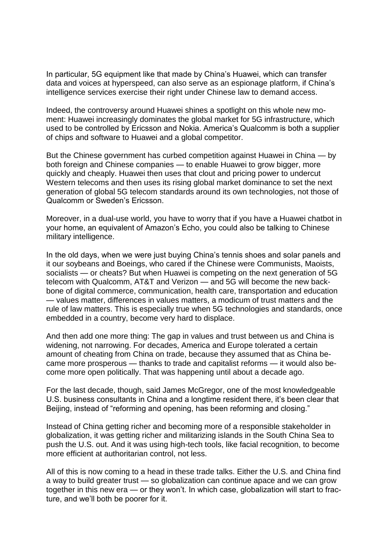In particular, 5G equipment like that made by China's Huawei, which can transfer data and voices at hyperspeed, can also serve as an espionage platform, if China's intelligence services exercise their right under Chinese law to demand access.

Indeed, the controversy around Huawei shines a spotlight on this whole new moment: Huawei increasingly dominates the global market for 5G infrastructure, which used to be controlled by Ericsson and Nokia. America's Qualcomm is both a supplier of chips and software to Huawei and a global competitor.

But the Chinese government has curbed competition against Huawei in China — by both foreign and Chinese companies — to enable Huawei to grow bigger, more quickly and cheaply. Huawei then uses that clout and pricing power to undercut Western telecoms and then uses its rising global market dominance to set the next generation of global 5G telecom standards around its own technologies, not those of Qualcomm or Sweden's Ericsson.

Moreover, in a dual-use world, you have to worry that if you have a Huawei chatbot in your home, an equivalent of Amazon's Echo, you could also be talking to Chinese military intelligence.

In the old days, when we were just buying China's tennis shoes and solar panels and it our soybeans and Boeings, who cared if the Chinese were Communists, Maoists, socialists — or cheats? But when Huawei is competing on the next generation of 5G telecom with Qualcomm, AT&T and Verizon — and 5G will become the new backbone of digital commerce, communication, health care, transportation and education — values matter, differences in values matters, a modicum of trust matters and the rule of law matters. This is especially true when 5G technologies and standards, once embedded in a country, become very hard to displace.

And then add one more thing: The gap in values and trust between us and China is widening, not narrowing. For decades, America and Europe tolerated a certain amount of cheating from China on trade, because they assumed that as China became more prosperous — thanks to trade and capitalist reforms — it would also become more open politically. That was happening until about a decade ago.

For the last decade, though, said James McGregor, one of the most knowledgeable U.S. business consultants in China and a longtime resident there, it's been clear that Beijing, instead of "reforming and opening, has been reforming and closing."

Instead of China getting richer and becoming more of a responsible stakeholder in globalization, it was getting richer and militarizing islands in the South China Sea to push the U.S. out. And it was using high-tech tools, like facial recognition, to become more efficient at authoritarian control, not less.

All of this is now coming to a head in these trade talks. Either the U.S. and China find a way to build greater trust — so globalization can continue apace and we can grow together in this new era — or they won't. In which case, globalization will start to fracture, and we'll both be poorer for it.